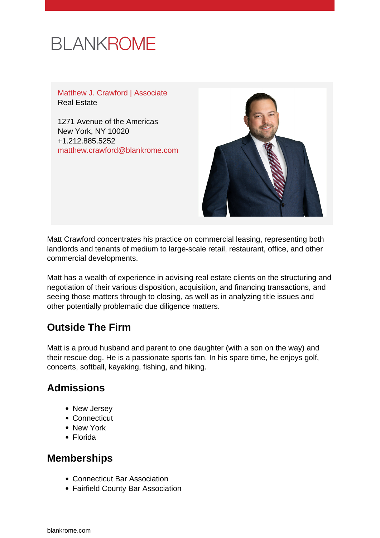# **BLANKROME**

Matthew J. Crawford | Associate Real Estate

1271 Avenue of the Americas New York, NY 10020 +1.212.885.5252 [matthew.crawford@blankrome.com](mailto:matthew.crawford@blankrome.com)



Matt Crawford concentrates his practice on commercial leasing, representing both landlords and tenants of medium to large-scale retail, restaurant, office, and other commercial developments.

Matt has a wealth of experience in advising real estate clients on the structuring and negotiation of their various disposition, acquisition, and financing transactions, and seeing those matters through to closing, as well as in analyzing title issues and other potentially problematic due diligence matters.

## **Outside The Firm**

Matt is a proud husband and parent to one daughter (with a son on the way) and their rescue dog. He is a passionate sports fan. In his spare time, he enjoys golf, concerts, softball, kayaking, fishing, and hiking.

### **Admissions**

- New Jersey
- Connecticut
- New York
- Florida

#### **Memberships**

- Connecticut Bar Association
- Fairfield County Bar Association